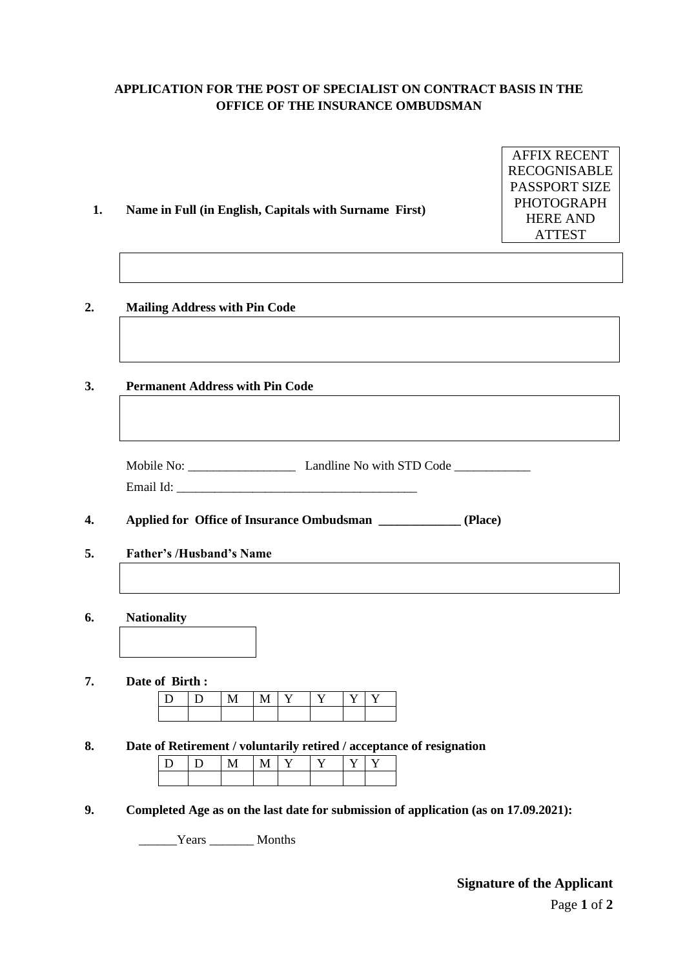# **APPLICATION FOR THE POST OF SPECIALIST ON CONTRACT BASIS IN THE OFFICE OF THE INSURANCE OMBUDSMAN**

| Name in Full (in English, Capitals with Surname First) |   |   |   |   | <b>RECOGNISABLE</b><br>PASSPORT SIZE<br><b>PHOTOGRAPH</b><br><b>HERE AND</b><br><b>ATTEST</b> |   |   |                                                                                     |  |
|--------------------------------------------------------|---|---|---|---|-----------------------------------------------------------------------------------------------|---|---|-------------------------------------------------------------------------------------|--|
| <b>Mailing Address with Pin Code</b>                   |   |   |   |   |                                                                                               |   |   |                                                                                     |  |
| <b>Permanent Address with Pin Code</b>                 |   |   |   |   |                                                                                               |   |   |                                                                                     |  |
|                                                        |   |   |   |   |                                                                                               |   |   |                                                                                     |  |
|                                                        |   |   |   |   |                                                                                               |   |   |                                                                                     |  |
| <b>Father's /Husband's Name</b>                        |   |   |   |   |                                                                                               |   |   | Applied for Office of Insurance Ombudsman ______________ (Place)                    |  |
|                                                        |   |   |   |   |                                                                                               |   |   |                                                                                     |  |
| <b>Nationality</b>                                     |   |   |   |   |                                                                                               |   |   |                                                                                     |  |
| Date of Birth:                                         |   |   |   |   |                                                                                               |   |   |                                                                                     |  |
| D                                                      | D | M | M | Y | Y                                                                                             | Y | Y |                                                                                     |  |
|                                                        |   |   |   |   |                                                                                               |   |   | Date of Retirement / voluntarily retired / acceptance of resignation                |  |
| D                                                      | D | M | M | Y | Y                                                                                             | Y | Y |                                                                                     |  |
|                                                        |   |   |   |   |                                                                                               |   |   | Completed Age as on the last date for submission of application (as on 17.09.2021): |  |
|                                                        |   |   |   |   |                                                                                               |   |   |                                                                                     |  |
|                                                        |   |   |   |   |                                                                                               |   |   |                                                                                     |  |

AFFIX RECENT